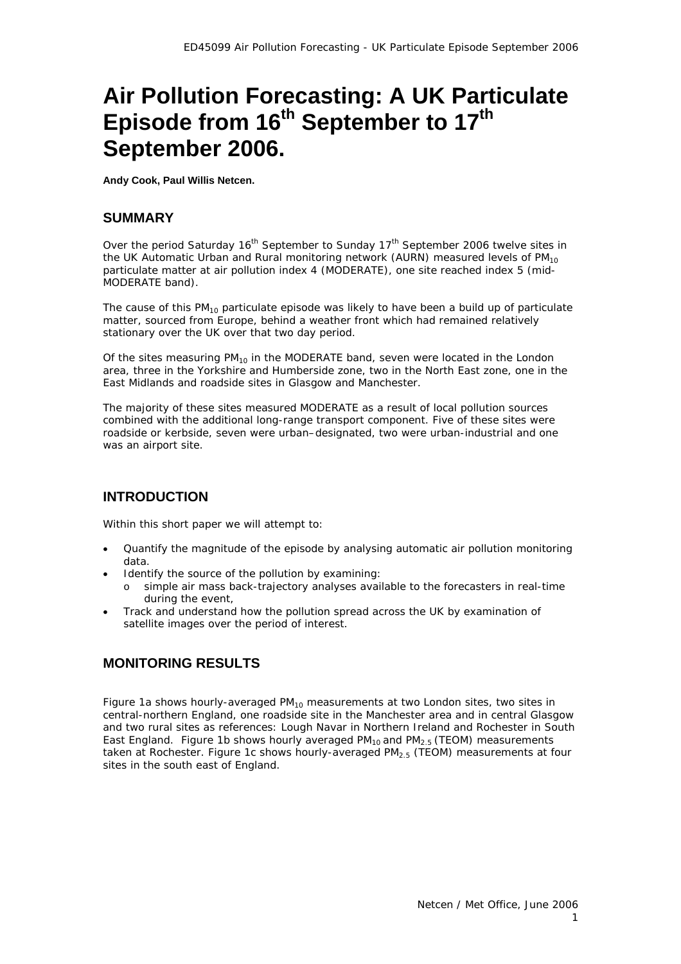# **Air Pollution Forecasting: A UK Particulate Episode from 16th September to 17th September 2006.**

**Andy Cook, Paul Willis Netcen.**

# **SUMMARY**

Over the period Saturday 16<sup>th</sup> September to Sunday 17<sup>th</sup> September 2006 twelve sites in the UK Automatic Urban and Rural monitoring network (AURN) measured levels of  $PM_{10}$ particulate matter at air pollution index 4 (MODERATE), one site reached index 5 (mid-MODERATE band).

The cause of this  $PM_{10}$  particulate episode was likely to have been a build up of particulate matter, sourced from Europe, behind a weather front which had remained relatively stationary over the UK over that two day period.

Of the sites measuring  $PM_{10}$  in the MODERATE band, seven were located in the London area, three in the Yorkshire and Humberside zone, two in the North East zone, one in the East Midlands and roadside sites in Glasgow and Manchester.

The majority of these sites measured MODERATE as a result of local pollution sources combined with the additional long-range transport component. Five of these sites were roadside or kerbside, seven were urban–designated, two were urban-industrial and one was an airport site.

# **INTRODUCTION**

Within this short paper we will attempt to:

- Quantify the magnitude of the episode by analysing automatic air pollution monitoring data.
- Identify the source of the pollution by examining:
	- o simple air mass back-trajectory analyses available to the forecasters in real-time during the event,
- Track and understand how the pollution spread across the UK by examination of satellite images over the period of interest.

# **MONITORING RESULTS**

Figure 1a shows hourly-averaged  $PM_{10}$  measurements at two London sites, two sites in central-northern England, one roadside site in the Manchester area and in central Glasgow and two rural sites as references: Lough Navar in Northern Ireland and Rochester in South East England. Figure 1b shows hourly averaged  $PM<sub>10</sub>$  and  $PM<sub>2.5</sub>$  (TEOM) measurements taken at Rochester. Figure 1c shows hourly-averaged  $PM_{2.5}$  (TEOM) measurements at four sites in the south east of England.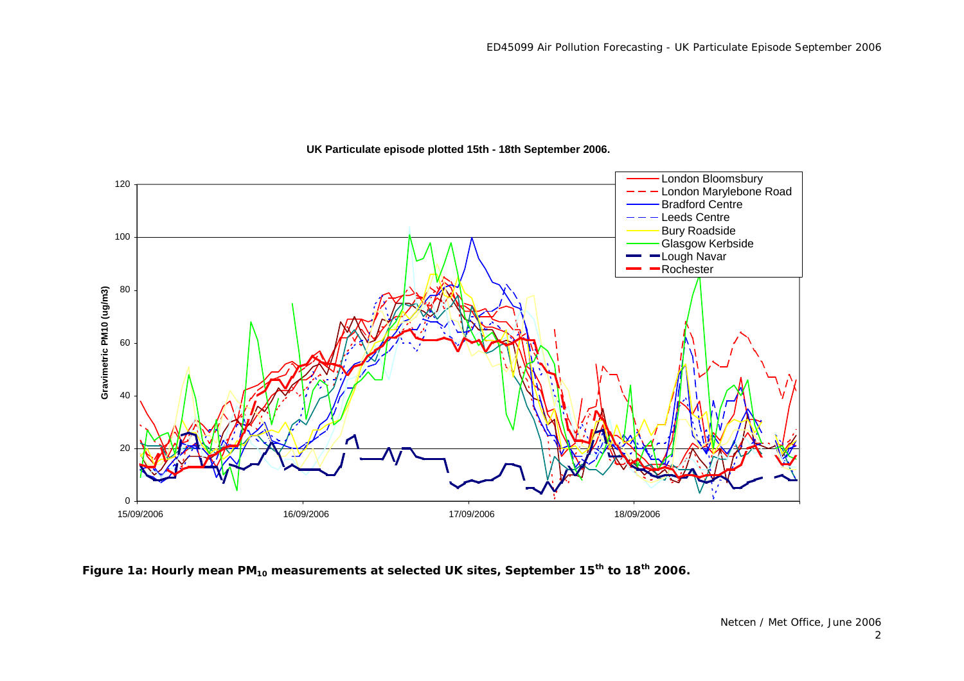

#### **UK Particulate episode plotted 15th - 18th September 2006.**

Figure 1a: Hourly mean PM<sub>10</sub> measurements at selected UK sites, September 15<sup>th</sup> to 18<sup>th</sup> 2006.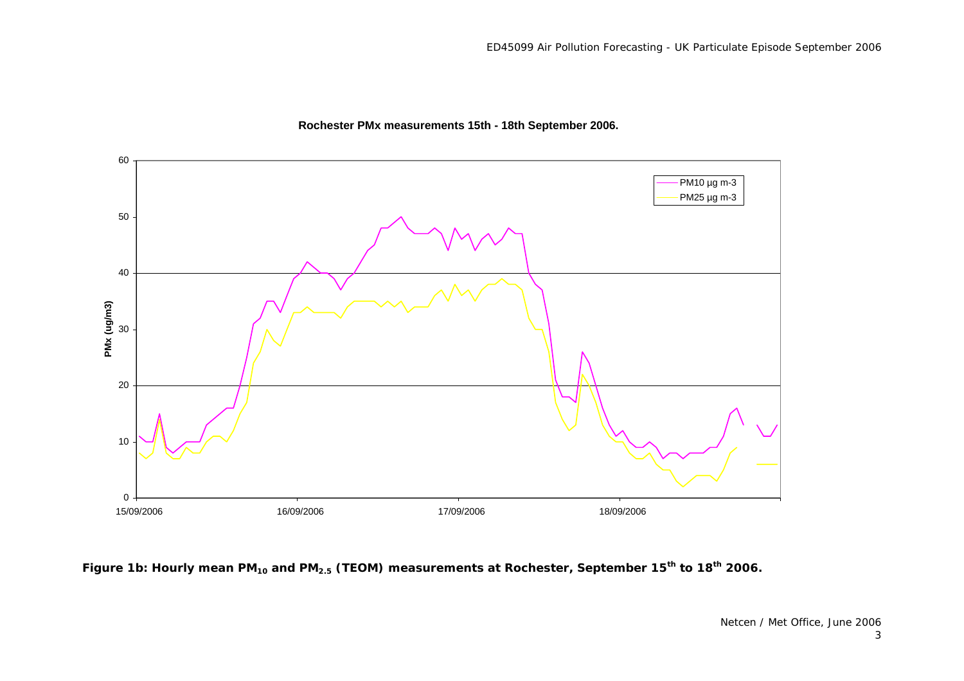

#### **Rochester PMx measurements 15th - 18th September 2006.**

Figure 1b: Hourly mean PM<sub>10</sub> and PM<sub>2.5</sub> (TEOM) measurements at Rochester, September 15<sup>th</sup> to 18<sup>th</sup> 2006.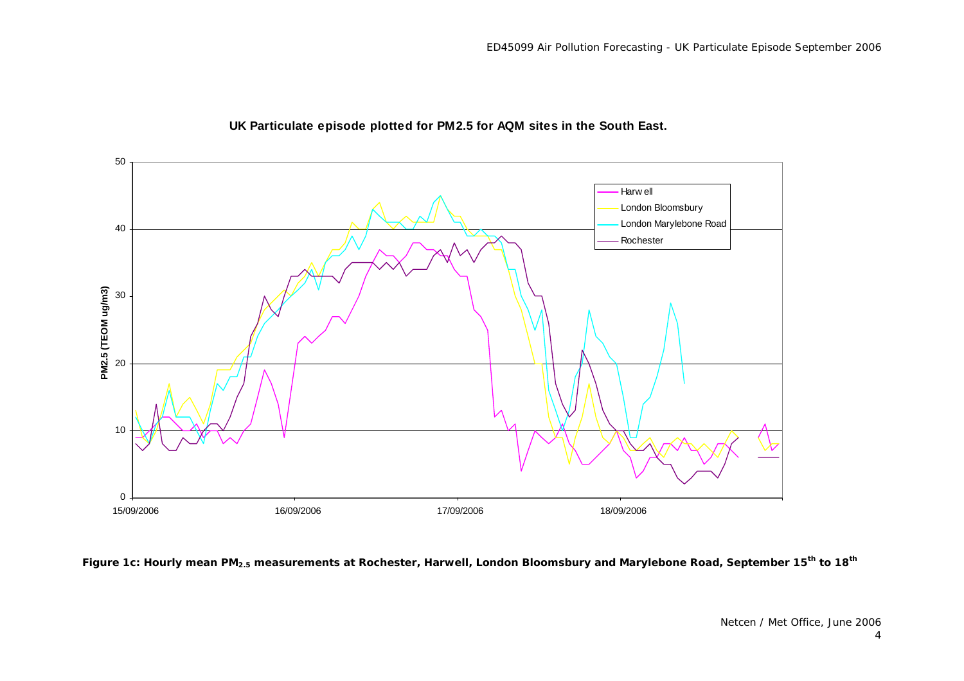

#### **UK Particulate episode plotted for PM2.5 for AQM sites in the South East.**

**Figure 1c: Hourly mean PM2.5 measurements at Rochester, Harwell, London Bloomsbury and Marylebone Road, September 15th to 18th**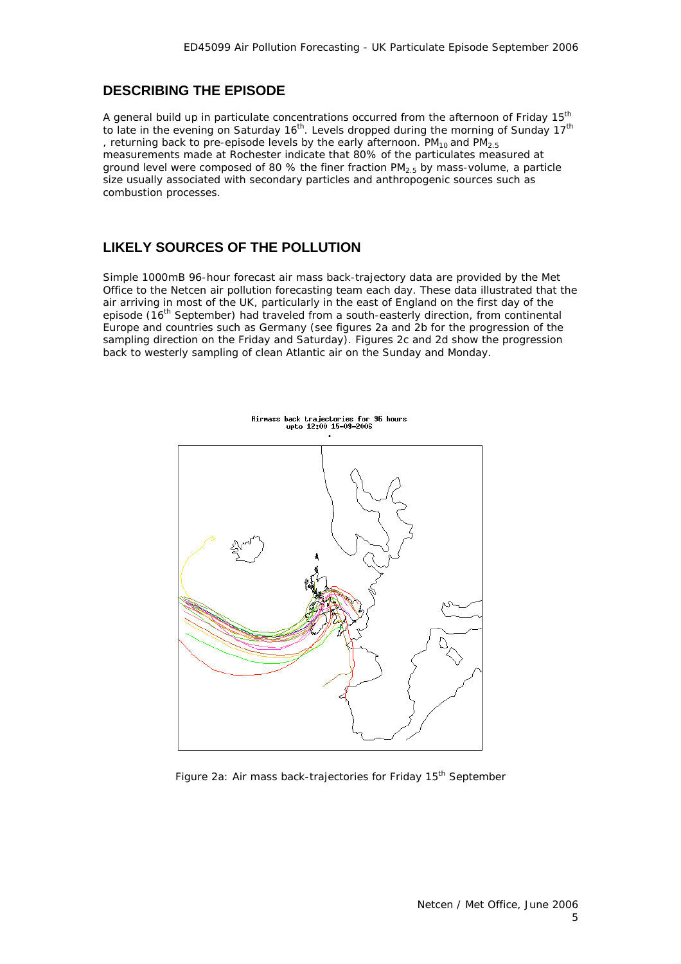#### **DESCRIBING THE EPISODE**

A general build up in particulate concentrations occurred from the afternoon of Friday 15<sup>th</sup> to late in the evening on Saturday 16<sup>th</sup>. Levels dropped during the morning of Sunday 17<sup>th</sup> , returning back to pre-episode levels by the early afternoon.  $PM_{10}$  and  $PM_{2.5}$ measurements made at Rochester indicate that 80% of the particulates measured at ground level were composed of 80 % the finer fraction  $PM_{2.5}$  by mass-volume, a particle size usually associated with secondary particles and anthropogenic sources such as combustion processes.

### **LIKELY SOURCES OF THE POLLUTION**

Simple 1000mB 96-hour forecast air mass back-trajectory data are provided by the Met Office to the Netcen air pollution forecasting team each day. These data illustrated that the air arriving in most of the UK, particularly in the east of England on the first day of the episode (16<sup>th</sup> September) had traveled from a south-easterly direction, from continental Europe and countries such as Germany (see figures 2a and 2b for the progression of the sampling direction on the Friday and Saturday). Figures 2c and 2d show the progression back to westerly sampling of clean Atlantic air on the Sunday and Monday.



Figure 2a: Air mass back-trajectories for Friday 15<sup>th</sup> September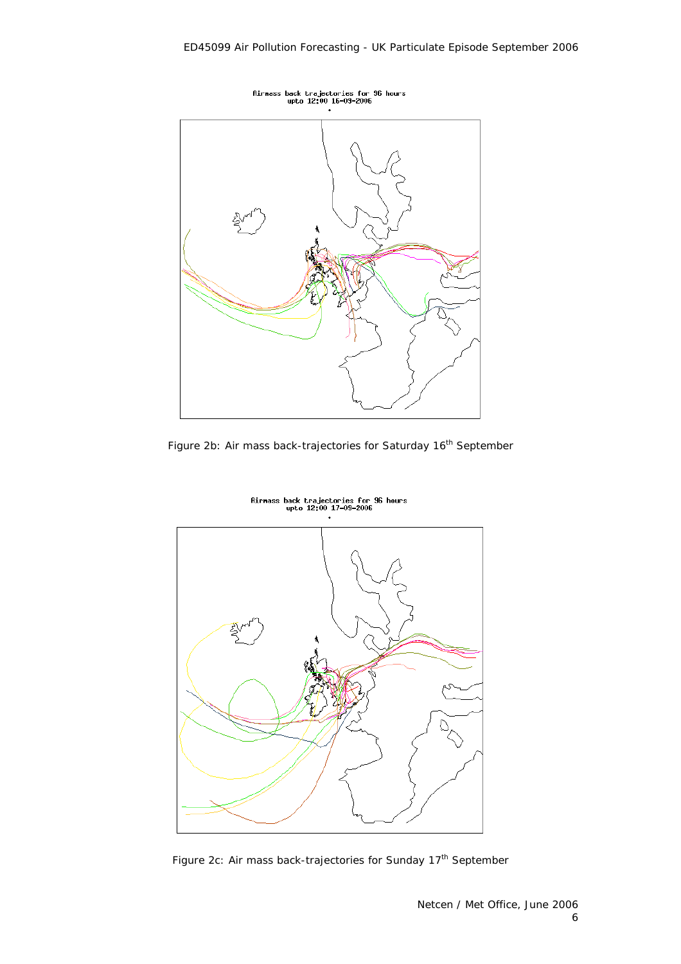

Figure 2b: Air mass back-trajectories for Saturday 16<sup>th</sup> September



Rirmass back trajectories for 96 hours<br>upto 12:00 17-09-2006

Figure 2c: Air mass back-trajectories for Sunday 17<sup>th</sup> September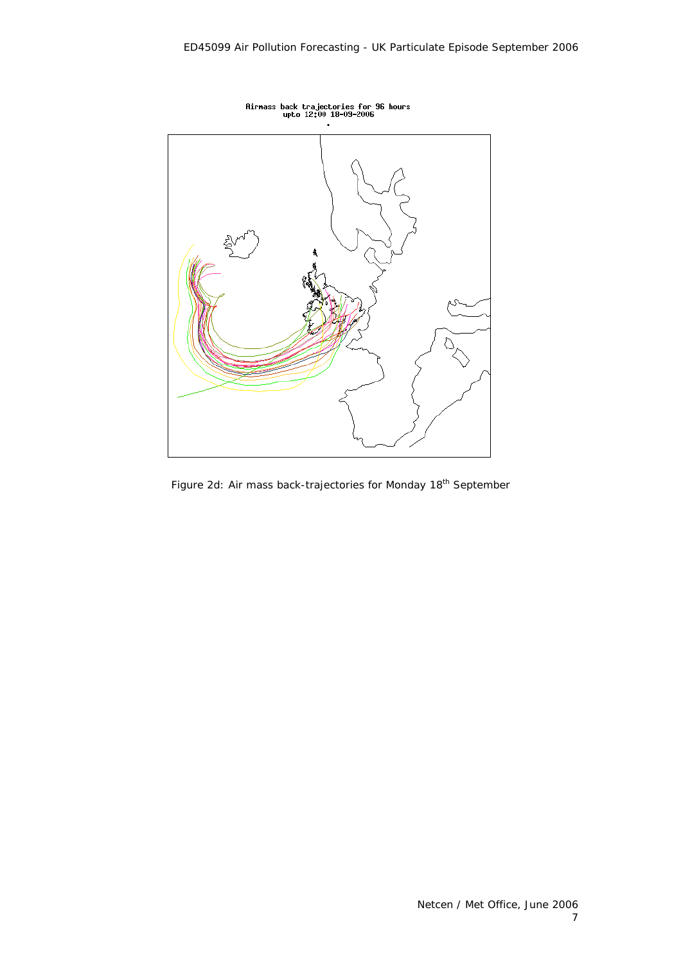

Figure 2d: Air mass back-trajectories for Monday 18<sup>th</sup> September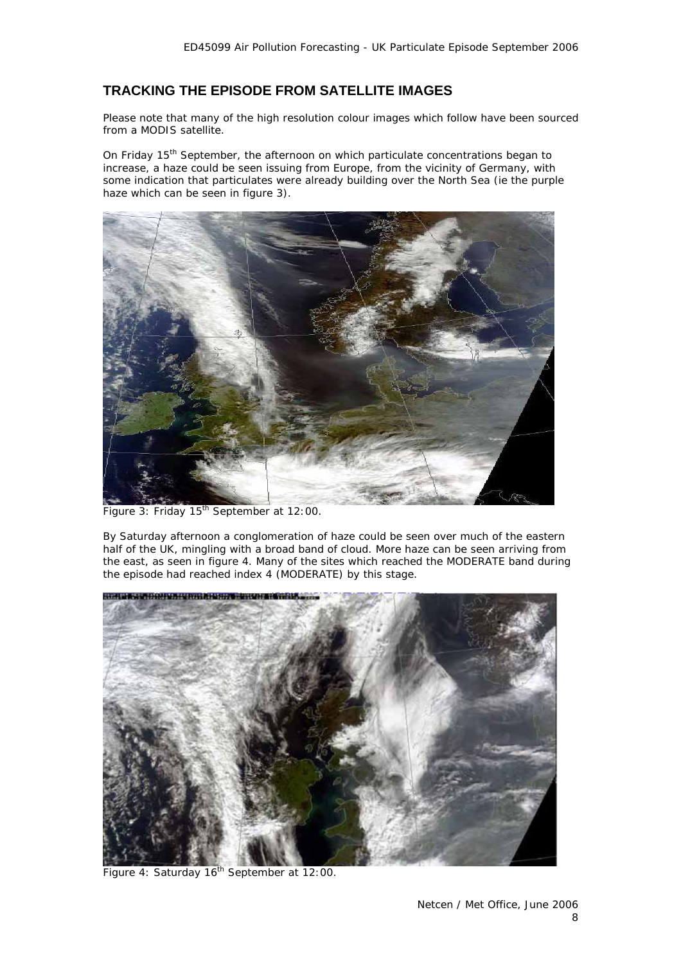## **TRACKING THE EPISODE FROM SATELLITE IMAGES**

Please note that many of the high resolution colour images which follow have been sourced from a MODIS satellite.

On Friday 15<sup>th</sup> September, the afternoon on which particulate concentrations began to increase, a haze could be seen issuing from Europe, from the vicinity of Germany, with some indication that particulates were already building over the North Sea (ie the purple haze which can be seen in figure 3).



Figure 3: Friday 15<sup>th</sup> September at 12:00.

By Saturday afternoon a conglomeration of haze could be seen over much of the eastern half of the UK, mingling with a broad band of cloud. More haze can be seen arriving from the east, as seen in figure 4. Many of the sites which reached the MODERATE band during the episode had reached index 4 (MODERATE) by this stage.



Figure 4: Saturday 16<sup>th</sup> September at 12:00.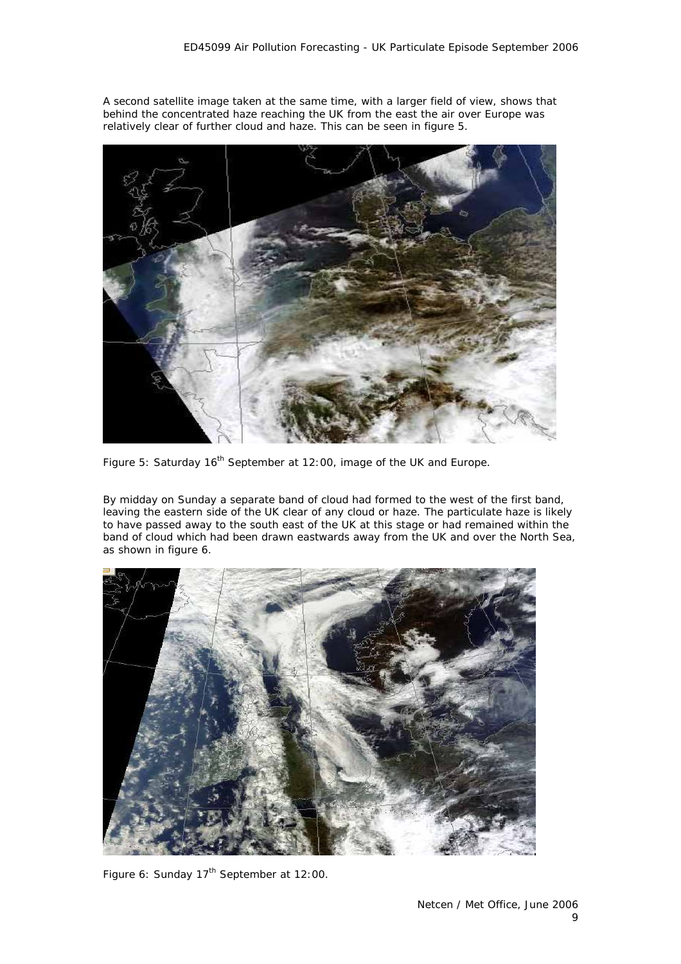A second satellite image taken at the same time, with a larger field of view, shows that behind the concentrated haze reaching the UK from the east the air over Europe was relatively clear of further cloud and haze. This can be seen in figure 5.



Figure 5: Saturday 16<sup>th</sup> September at 12:00, image of the UK and Europe.

By midday on Sunday a separate band of cloud had formed to the west of the first band, leaving the eastern side of the UK clear of any cloud or haze. The particulate haze is likely to have passed away to the south east of the UK at this stage or had remained within the band of cloud which had been drawn eastwards away from the UK and over the North Sea, as shown in figure 6.



Figure 6: Sunday 17<sup>th</sup> September at 12:00.